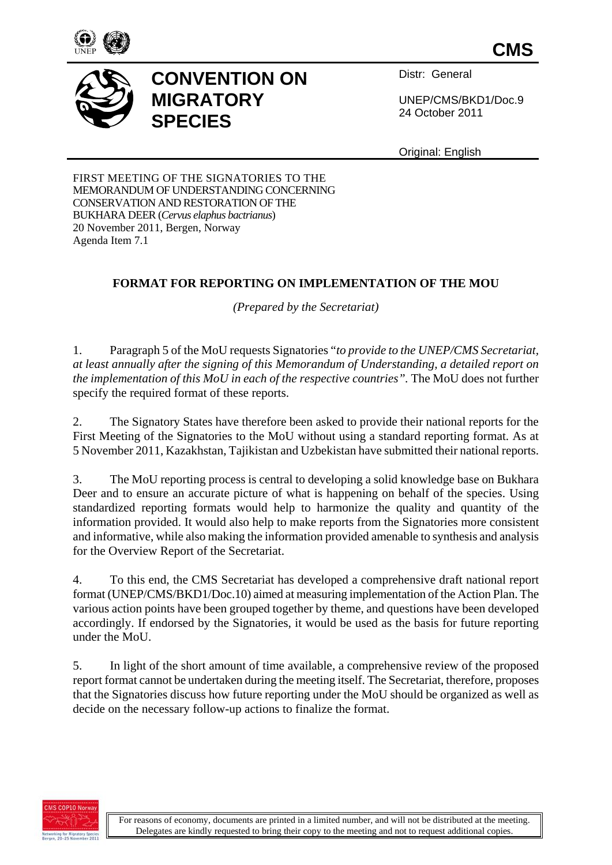

**CMS**

## **CONVENTION ON MIGRATORY SPECIES**

Distr: General

UNEP/CMS/BKD1/Doc.9 24 October 2011

Original: English

FIRST MEETING OF THE SIGNATORIES TO THE MEMORANDUM OF UNDERSTANDING CONCERNING CONSERVATION AND RESTORATION OF THE BUKHARA DEER (*Cervus elaphus bactrianus*) 20 November 2011, Bergen, Norway Agenda Item 7.1

## **FORMAT FOR REPORTING ON IMPLEMENTATION OF THE MOU**

*(Prepared by the Secretariat)* 

1. Paragraph 5 of the MoU requests Signatories "*to provide to the UNEP/CMS Secretariat, at least annually after the signing of this Memorandum of Understanding, a detailed report on the implementation of this MoU in each of the respective countries".* The MoU does not further specify the required format of these reports.

2. The Signatory States have therefore been asked to provide their national reports for the First Meeting of the Signatories to the MoU without using a standard reporting format. As at 5 November 2011, Kazakhstan, Tajikistan and Uzbekistan have submitted their national reports.

3. The MoU reporting process is central to developing a solid knowledge base on Bukhara Deer and to ensure an accurate picture of what is happening on behalf of the species. Using standardized reporting formats would help to harmonize the quality and quantity of the information provided. It would also help to make reports from the Signatories more consistent and informative, while also making the information provided amenable to synthesis and analysis for the Overview Report of the Secretariat.

4. To this end, the CMS Secretariat has developed a comprehensive draft national report format (UNEP/CMS/BKD1/Doc.10) aimed at measuring implementation of the Action Plan. The various action points have been grouped together by theme, and questions have been developed accordingly. If endorsed by the Signatories, it would be used as the basis for future reporting under the MoU.

5. In light of the short amount of time available, a comprehensive review of the proposed report format cannot be undertaken during the meeting itself. The Secretariat, therefore, proposes that the Signatories discuss how future reporting under the MoU should be organized as well as decide on the necessary follow-up actions to finalize the format.